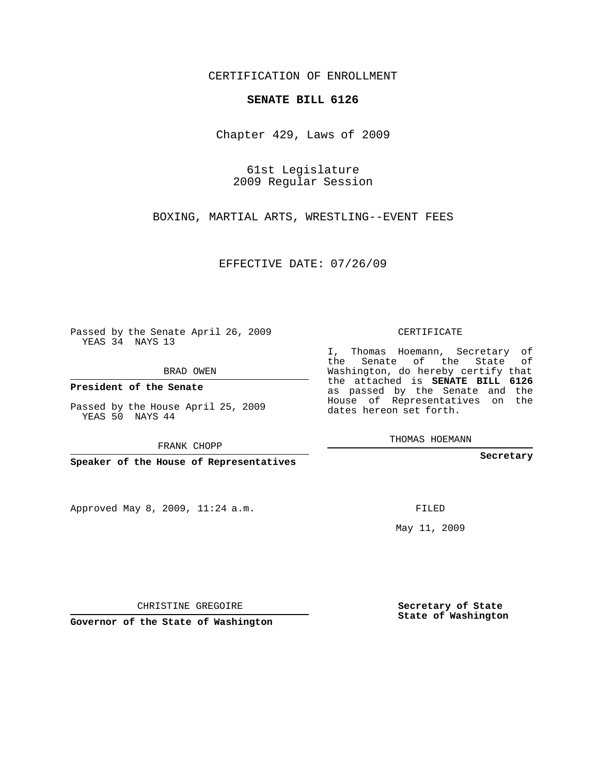## CERTIFICATION OF ENROLLMENT

## **SENATE BILL 6126**

Chapter 429, Laws of 2009

61st Legislature 2009 Regular Session

BOXING, MARTIAL ARTS, WRESTLING--EVENT FEES

EFFECTIVE DATE: 07/26/09

Passed by the Senate April 26, 2009 YEAS 34 NAYS 13

BRAD OWEN

**President of the Senate**

Passed by the House April 25, 2009 YEAS 50 NAYS 44

FRANK CHOPP

**Speaker of the House of Representatives**

Approved May 8, 2009, 11:24 a.m.

CERTIFICATE

I, Thomas Hoemann, Secretary of the Senate of the State of Washington, do hereby certify that the attached is **SENATE BILL 6126** as passed by the Senate and the House of Representatives on the dates hereon set forth.

THOMAS HOEMANN

**Secretary**

FILED

May 11, 2009

**Secretary of State State of Washington**

CHRISTINE GREGOIRE

**Governor of the State of Washington**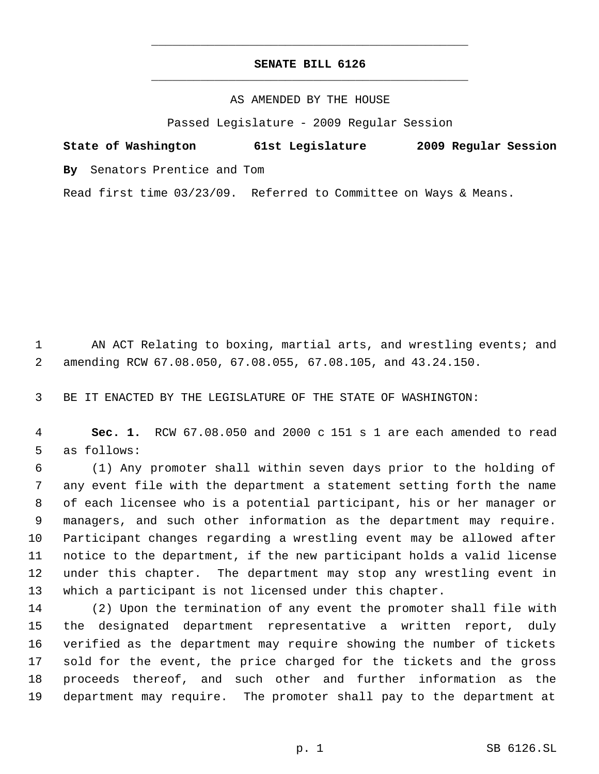## **SENATE BILL 6126** \_\_\_\_\_\_\_\_\_\_\_\_\_\_\_\_\_\_\_\_\_\_\_\_\_\_\_\_\_\_\_\_\_\_\_\_\_\_\_\_\_\_\_\_\_

\_\_\_\_\_\_\_\_\_\_\_\_\_\_\_\_\_\_\_\_\_\_\_\_\_\_\_\_\_\_\_\_\_\_\_\_\_\_\_\_\_\_\_\_\_

## AS AMENDED BY THE HOUSE

Passed Legislature - 2009 Regular Session

**State of Washington 61st Legislature 2009 Regular Session By** Senators Prentice and Tom

Read first time 03/23/09. Referred to Committee on Ways & Means.

1 AN ACT Relating to boxing, martial arts, and wrestling events; and amending RCW 67.08.050, 67.08.055, 67.08.105, and 43.24.150.

BE IT ENACTED BY THE LEGISLATURE OF THE STATE OF WASHINGTON:

 **Sec. 1.** RCW 67.08.050 and 2000 c 151 s 1 are each amended to read as follows:

 (1) Any promoter shall within seven days prior to the holding of any event file with the department a statement setting forth the name of each licensee who is a potential participant, his or her manager or managers, and such other information as the department may require. Participant changes regarding a wrestling event may be allowed after notice to the department, if the new participant holds a valid license under this chapter. The department may stop any wrestling event in which a participant is not licensed under this chapter.

 (2) Upon the termination of any event the promoter shall file with the designated department representative a written report, duly verified as the department may require showing the number of tickets sold for the event, the price charged for the tickets and the gross proceeds thereof, and such other and further information as the department may require. The promoter shall pay to the department at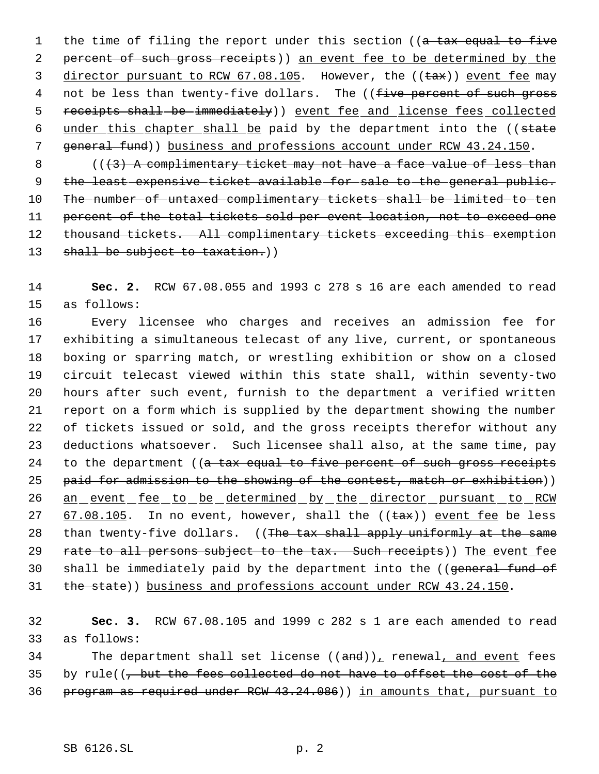1 the time of filing the report under this section ((a tax equal to five 2 percent of such gross receipts)) an event fee to be determined by the 3 director pursuant to RCW 67.08.105. However, the ((tax)) event fee may 4 not be less than twenty-five dollars. The ((five percent of such gross 5 receipts shall be immediately)) event fee and license fees collected 6 under this chapter shall be paid by the department into the ((state 7 general fund)) business and professions account under RCW 43.24.150.

 $8$  ( $(\frac{1}{3})$  A complimentary ticket may not have a face value of less than 9 the least expensive ticket available for sale to the general public. 10 The number of untaxed complimentary tickets shall be limited to ten 11 percent of the total tickets sold per event location, not to exceed one 12 thousand tickets. All complimentary tickets exceeding this exemption 13 shall be subject to taxation.)

14 **Sec. 2.** RCW 67.08.055 and 1993 c 278 s 16 are each amended to read 15 as follows:

16 Every licensee who charges and receives an admission fee for 17 exhibiting a simultaneous telecast of any live, current, or spontaneous 18 boxing or sparring match, or wrestling exhibition or show on a closed 19 circuit telecast viewed within this state shall, within seventy-two 20 hours after such event, furnish to the department a verified written 21 report on a form which is supplied by the department showing the number 22 of tickets issued or sold, and the gross receipts therefor without any 23 deductions whatsoever. Such licensee shall also, at the same time, pay 24 to the department ((a tax equal to five percent of such gross receipts 25 paid for admission to the showing of the contest, match or exhibition)) 26 an event fee to be determined by the director pursuant to RCW 27  $67.08.105$ . In no event, however, shall the (( $\text{tax}$ )) event fee be less 28 than twenty-five dollars. ((The tax shall apply uniformly at the same 29 rate to all persons subject to the tax. Such receipts)) The event fee 30 shall be immediately paid by the department into the ((general fund of 31 the state)) business and professions account under RCW 43.24.150.

32 **Sec. 3.** RCW 67.08.105 and 1999 c 282 s 1 are each amended to read 33 as follows:

34 The department shall set license  $((and))_L$  renewal, and event fees 35 by rule( $\left(-\right)$  but the fees collected do not have to offset the cost of the 36 program as required under RCW 43.24.086)) in amounts that, pursuant to